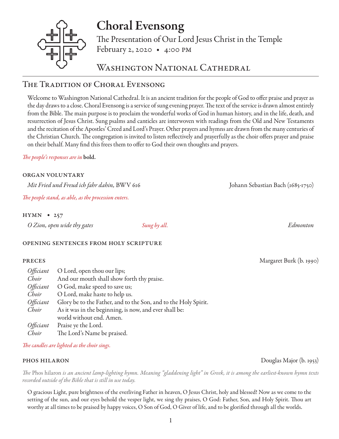# Choral Evensong

The Presentation of Our Lord Jesus Christ in the Temple February 2, 2020 • 4:00 pm

# WASHINGTON NATIONAL CATHEDRAL

# The Tradition of Choral Evensong

Welcome to Washington National Cathedral. It is an ancient tradition for the people of God to offer praise and prayer as the day draws to a close. Choral Evensong is a service of sung evening prayer. The text of the service is drawn almost entirely from the Bible. The main purpose is to proclaim the wonderful works of God in human history, and in the life, death, and resurrection of Jesus Christ. Sung psalms and canticles are interwoven with readings from the Old and New Testaments and the recitation of the Apostles' Creed and Lord's Prayer. Other prayers and hymns are drawn from the many centuries of the Christian Church. The congregation is invited to listen reflectively and prayerfully as the choir offers prayer and praise on their behalf. Many find this frees them to offer to God their own thoughts and prayers.

# *The people's responses are in* bold.

## organ voluntary

*Mit Fried und Freud ich fahr dahin,* BWV 616 Johann Sebastian Bach (1685-1750)

*The people stand, as able, as the procession enters.* 

# hymn • 257

|  | O Zion, open wide thy gates | Sung by all. | Edmonton |
|--|-----------------------------|--------------|----------|
|--|-----------------------------|--------------|----------|

## opening sentences from holy scripture

| Officiant | O Lord, open thou our lips;                                     |
|-----------|-----------------------------------------------------------------|
| Choir     | And our mouth shall show forth thy praise.                      |
| Officiant | O God, make speed to save us;                                   |
| Choir     | O Lord, make haste to help us.                                  |
| Officiant | Glory be to the Father, and to the Son, and to the Holy Spirit. |
| Choir     | As it was in the beginning, is now, and ever shall be:          |
|           | world without end. Amen.                                        |
| Officiant | Praise ye the Lord.                                             |
| Choir     | The Lord's Name be praised.                                     |

## *The candles are lighted as the choir sings.*

*The* Phos hilaron *is an ancient lamp-lighting hymn. Meaning "gladdening light" in Greek, it is among the earliest-known hymn texts recorded outside of the Bible that is still in use today.*

O gracious Light, pure brightness of the everliving Father in heaven, O Jesus Christ, holy and blessed! Now as we come to the setting of the sun, and our eyes behold the vesper light, we sing thy praises, O God: Father, Son, and Holy Spirit. Thou art worthy at all times to be praised by happy voices, O Son of God, O Giver of life, and to be glorified through all the worlds.

phos hilaron Douglas Major (b. 1953)

preces Margaret Burk (b. 1990)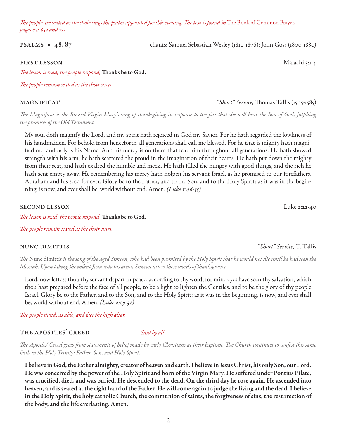*The people are seated as the choir sings the psalm appointed for this evening. The text is found in* The Book of Common Prayer, *pages 651-652 and 711.* 

psalms • 48, 87 chants: Samuel Sebastian Wesley (1810-1876); John Goss (1800-1880)

### first lesson Malachi 3:1-4

*The lesson is read; the people respond,* Thanks be to God.

*The people remain seated as the choir sings.*

magnificat *"Short" Service,* Thomas Tallis (1505-1585)

*The Magnificat is the Blessed Virgin Mary's song of thanksgiving in response to the fact that she will bear the Son of God, fulfilling the promises of the Old Testament.* 

My soul doth magnify the Lord, and my spirit hath rejoiced in God my Savior. For he hath regarded the lowliness of his handmaiden. For behold from henceforth all generations shall call me blessed. For he that is mighty hath magnified me, and holy is his Name. And his mercy is on them that fear him throughout all generations. He hath showed strength with his arm; he hath scattered the proud in the imagination of their hearts. He hath put down the mighty from their seat, and hath exalted the humble and meek. He hath filled the hungry with good things, and the rich he hath sent empty away. He remembering his mercy hath holpen his servant Israel, as he promised to our forefathers, Abraham and his seed for ever. Glory be to the Father, and to the Son, and to the Holy Spirit: as it was in the beginning, is now, and ever shall be, world without end. Amen. *(Luke 1:46-55)* 

second lesson Luke 2:22-40

*The lesson is read; the people respond,* Thanks be to God.

*The people remain seated as the choir sings.* 

#### nunc dimittis *"Short" Service,* T. Tallis

*The* Nunc dimittis *is the song of the aged Simeon, who had been promised by the Holy Spirit that he would not die until he had seen the Messiah. Upon taking the infant Jesus into his arms, Simeon utters these words of thanksgiving.*

Lord, now lettest thou thy servant depart in peace, according to thy word; for mine eyes have seen thy salvation, which thou hast prepared before the face of all people, to be a light to lighten the Gentiles, and to be the glory of thy people Israel. Glory be to the Father, and to the Son, and to the Holy Spirit: as it was in the beginning, is now, and ever shall be, world without end. Amen. *(Luke 2:29-32)*

*The people stand, as able, and face the high altar.*

### THE APOSTLES' CREED *Said by all.*

*The Apostles' Creed grew from statements of belief made by early Christians at their baptism. The Church continues to confess this same faith in the Holy Trinity: Father, Son, and Holy Spirit.*

I believe in God, the Father almighty, creator of heaven and earth. I believe in Jesus Christ, his only Son, our Lord. He was conceived by the power of the Holy Spirit and born of the Virgin Mary. He suffered under Pontius Pilate, was crucified, died, and was buried. He descended to the dead. On the third day he rose again. He ascended into heaven, and is seated at the right hand of the Father. He will come again to judge the living and the dead. I believe in the Holy Spirit, the holy catholic Church, the communion of saints, the forgiveness of sins, the resurrection of the body, and the life everlasting. Amen.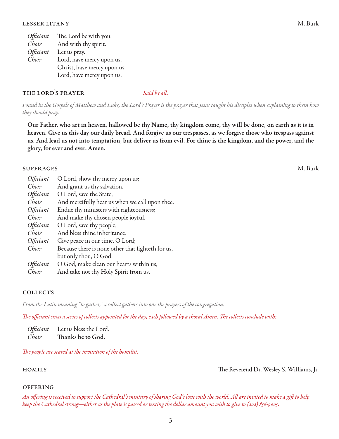| Officiant        | The Lord be with you.       |
|------------------|-----------------------------|
| Choir            | And with thy spirit.        |
| <i>Officiant</i> | Let us pray.                |
| Choir            | Lord, have mercy upon us.   |
|                  | Christ, have mercy upon us. |
|                  | Lord, have mercy upon us.   |

### THE LORD'S PRAYER *Said by all.*

*Found in the Gospels of Matthew and Luke, the Lord's Prayer is the prayer that Jesus taught his disciples when explaining to them how they should pray.*

Our Father, who art in heaven, hallowed be thy Name, thy kingdom come, thy will be done, on earth as it is in heaven. Give us this day our daily bread. And forgive us our trespasses, as we forgive those who trespass against us. And lead us not into temptation, but deliver us from evil. For thine is the kingdom, and the power, and the glory, for ever and ever. Amen.

### suffrages M. Burk

| Officiant        | O Lord, show thy mercy upon us;                   |
|------------------|---------------------------------------------------|
| Choir            | And grant us thy salvation.                       |
| <i>Officiant</i> | O Lord, save the State;                           |
| Choir            | And mercifully hear us when we call upon thee.    |
| Officiant        | Endue thy ministers with righteousness;           |
| Choir            | And make thy chosen people joyful.                |
| Officiant        | O Lord, save thy people;                          |
| Choir            | And bless thine inheritance.                      |
| Officiant        | Give peace in our time, O Lord;                   |
| Choir            | Because there is none other that fighteth for us, |
|                  | but only thou, O God.                             |
| <i>Officiant</i> | O God, make clean our hearts within us;           |
| Choir            | And take not thy Holy Spirit from us.             |

### **COLLECTS**

*From the Latin meaning "to gather," a collect gathers into one the prayers of the congregation.* 

*The officiant sings a series of collects appointed for the day, each followed by a choral Amen. The collects conclude with:* 

| Officiant | Let us bless the Lord. |
|-----------|------------------------|
| Choir     | Thanks be to God.      |

*The people are seated at the invitation of the homilist.* 

homily The Reverend Dr. Wesley S. Williams, Jr.

#### **OFFERING**

*An offering is received to support the Cathedral's ministry of sharing God's love with the world. All are invited to make a gift to help keep the Cathedral strong—either as the plate is passed or texting the dollar amount you wish to give to (202) 856-9005.*